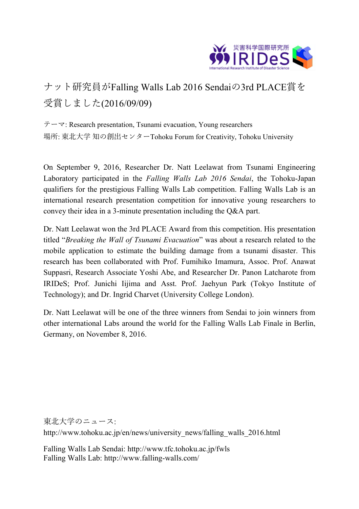

## ナット研究員がFalling Walls Lab 2016 Sendaiの3rd PLACE賞を 受賞しました(2016/09/09)

テーマ: Research presentation, Tsunami evacuation, Young researchers 場所: 東北大学 知の創出センターTohoku Forum for Creativity, Tohoku University

On September 9, 2016, Researcher Dr. Natt Leelawat from Tsunami Engineering Laboratory participated in the *Falling Walls Lab 2016 Sendai*, the Tohoku-Japan qualifiers for the prestigious Falling Walls Lab competition. Falling Walls Lab is an international research presentation competition for innovative young researchers to convey their idea in a 3-minute presentation including the Q&A part.

Dr. Natt Leelawat won the 3rd PLACE Award from this competition. His presentation titled "*Breaking the Wall of Tsunami Evacuation*" was about a research related to the mobile application to estimate the building damage from a tsunami disaster. This research has been collaborated with Prof. Fumihiko Imamura, Assoc. Prof. Anawat Suppasri, Research Associate Yoshi Abe, and Researcher Dr. Panon Latcharote from IRIDeS; Prof. Junichi Iijima and Asst. Prof. Jaehyun Park (Tokyo Institute of Technology); and Dr. Ingrid Charvet (University College London).

Dr. Natt Leelawat will be one of the three winners from Sendai to join winners from other international Labs around the world for the Falling Walls Lab Finale in Berlin, Germany, on November 8, 2016.

東北大学のニュース: http://www.tohoku.ac.jp/en/news/university\_news/falling\_walls\_2016.html

Falling Walls Lab Sendai: http://www.tfc.tohoku.ac.jp/fwls Falling Walls Lab: http://www.falling-walls.com/